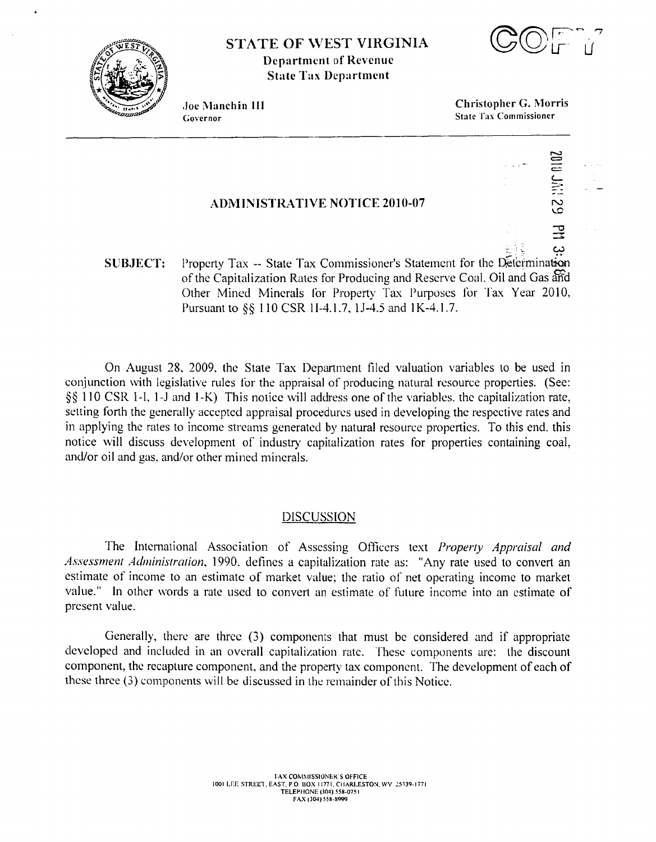

**STATE OF WEST VIRGINIA Department of Revenue State Tax Department** 



Joe Manchin III Governor

**Christopher G. Morris State Tax Commissioner** 

# **ADMINISTRATIVE NOTICE 2010-07**

ىئ Property Tax -- State Tax Commissioner's Statement for the Determination **SUBJECT:** of the Capitalization Rates for Producing and Reserve Coal, Oil and Gas and Other Mined Minerals for Property Tax Purposes for Tax Year 2010, Pursuant to §§ 110 CSR 1I-4.1.7, 1J-4.5 and 1K-4.1.7.

On August 28, 2009, the State Tax Department filed valuation variables to be used in conjunction with legislative rules for the appraisal of producing natural resource properties. (See: §§ 110 CSR 1-I, 1-J and 1-K) This notice will address one of the variables, the capitalization rate, setting forth the generally accepted appraisal procedures used in developing the respective rates and in applying the rates to income streams generated by natural resource properties. To this end, this notice will discuss development of industry capitalization rates for properties containing coal, and/or oil and gas, and/or other mined minerals.

#### **DISCUSSION**

The International Association of Assessing Officers text *Property Appraisal and* Assessment Administration, 1990, defines a capitalization rate as: "Any rate used to convert an estimate of income to an estimate of market value; the ratio of net operating income to market value." In other words a rate used to convert an estimate of future income into an estimate of present value.

Generally, there are three (3) components that must be considered and if appropriate developed and included in an overall capitalization rate. These components are: the discount component, the recapture component, and the property tax component. The development of each of these three (3) components will be discussed in the remainder of this Notice.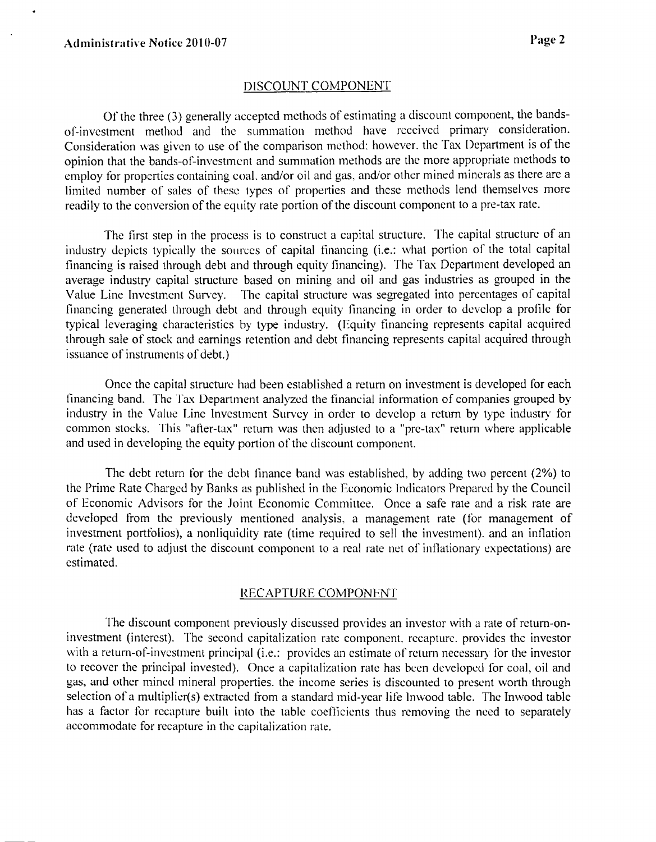.

# DISCOUNT COMPONENT

Of the three (3) generally accepted methods of estimating a discount component, the bandsof-investment method and the summation method have received primary considcration. Consideration was given to use of the comparison method: however. the Tax Department is of the opinion that the bands-of-investment and summation methods are the more appropriate methods to employ for properties containing coal. and/or oil and gas. and/or other mined minerals as there are a limited number of sales of these types of properties and these methods lend themselves more readily to the conversion of the equity rate portion of the discount component to a pre-tax rate.

The first step in the process is to construct a capital structure. The capital structure of an industry depicts typically the sources of capital financing (i.e.: what portion of the total capital financing is raised through debt and through equity financing). The Tax Department developed an average industry capital structure based on mining and oil and gas industries as grouped in the Value Line Investment Survey. The capital structure was segregated into percentages of capital financing generated through debt and through equity tinancing in order to develop a profile for typical leveraging characteristics by type industry. (Equity financing represents capital acquired through sale of stock and earnings retention and debt financing represents capital acquired through issuance of instruments of debt.)

Once the capital structure had been established a return on investment is developed for each financing band. The Tax Department analyzed the financial information of companies grouped by industry in the Value Line Investment Survey in order to develop a return by type industry for common stocks. This "after-tax" return was then adjusted to a "pre-tax" return where applicable and used in developing the equity portion of the discount component.

The debt return for the debt finance band was established. by adding two percent (2%) to the Prime Rate Chargcd by Banks as published in the Economic Indicators Prepared by the Council of Economic Advisors for the Joint Economic Committee. Once a safe rate and a risk rate are developed from the previously mentioned analysis, a management rate (for management of investment portfolios). a nonliquidity rate (time required to sell the investment). and an inflation rate (ratc used to adjust the discount component to a real rate net of inflationary expectations) are estimated.

#### RECAPTURE COMPONENT

The discount component previously discussed provides an investor with a rate of return-oninvestment (interest). The second capitalization rate component, recapture, provides the investor with a return-of-investment principal (i.e.: provides an estimate of return necessary for the investor to recover the principal invested). Once a capitalization ratc has bccn dcvelopcd for coal, oil and gas, and other mined mineral properties. the income series is discounted to present worth through selection of a multiplicr(s) extracted from a standard mid-year life lnwood table. The Inwood table has a factor for recapture built into the table coefficients thus removing the need to separately accommodate for recapture in the capitalization rate.